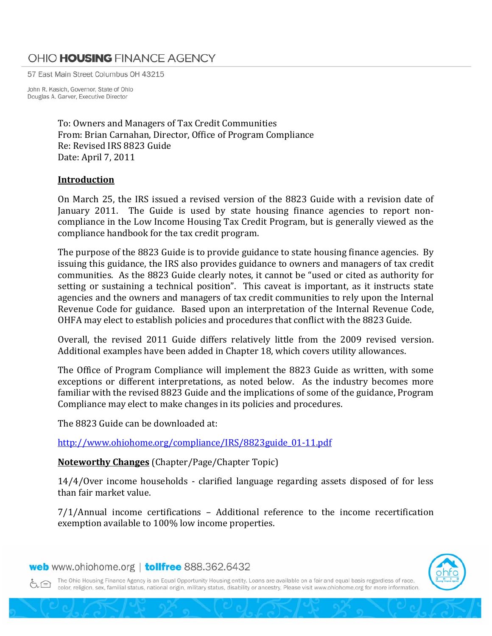## OHIO HOUSING FINANCE AGENCY

57 East Main Street Columbus OH 43215

John R. Kasich, Governor, State of Ohio Douglas A. Garver, Executive Director

> To: Owners and Managers of Tax Credit Communities From: Brian Carnahan, Director, Office of Program Compliance Re: Revised IRS 8823 Guide Date: April 7, 2011

## **Introduction**

On March 25, the IRS issued a revised version of the 8823 Guide with a revision date of January 2011. The Guide is used by state housing finance agencies to report noncompliance in the Low Income Housing Tax Credit Program, but is generally viewed as the compliance handbook for the tax credit program.

The purpose of the 8823 Guide is to provide guidance to state housing finance agencies. By issuing this guidance, the IRS also provides guidance to owners and managers of tax credit communities. As the 8823 Guide clearly notes, it cannot be "used or cited as authority for setting or sustaining a technical position". This caveat is important, as it instructs state agencies and the owners and managers of tax credit communities to rely upon the Internal Revenue Code for guidance. Based upon an interpretation of the Internal Revenue Code, OHFA may elect to establish policies and procedures that conflict with the 8823 Guide.

Overall, the revised 2011 Guide differs relatively little from the 2009 revised version. Additional examples have been added in Chapter 18, which covers utility allowances.

The Office of Program Compliance will implement the 8823 Guide as written, with some exceptions or different interpretations, as noted below. As the industry becomes more familiar with the revised 8823 Guide and the implications of some of the guidance, Program Compliance may elect to make changes in its policies and procedures.

The 8823 Guide can be downloaded at:

[http://www.ohiohome.org/compliance/IRS/8823guide\\_01‐11.pdf](http://www.ohiohome.org/compliance/IRS/8823guide_01-11.pdf)

**Noteworthy Changes** (Chapter/Page/Chapter Topic)

14/4/Over income households ‐ clarified language regarding assets disposed of for less than fair market value.

7/1/Annual income certifications – Additional reference to the income recertification exemption available to 100% low income properties.

## web www.ohiohome.org | tollfree 888.362.6432



The Ohio Housing Finance Agency is an Equal Opportunity Housing entity. Loans are available on a fair and equal basis regardless of race, 6.全 color, religion, sex, familial status, national origin, military status, disability or ancestry. Please visit www.ohiohome.org for more information.